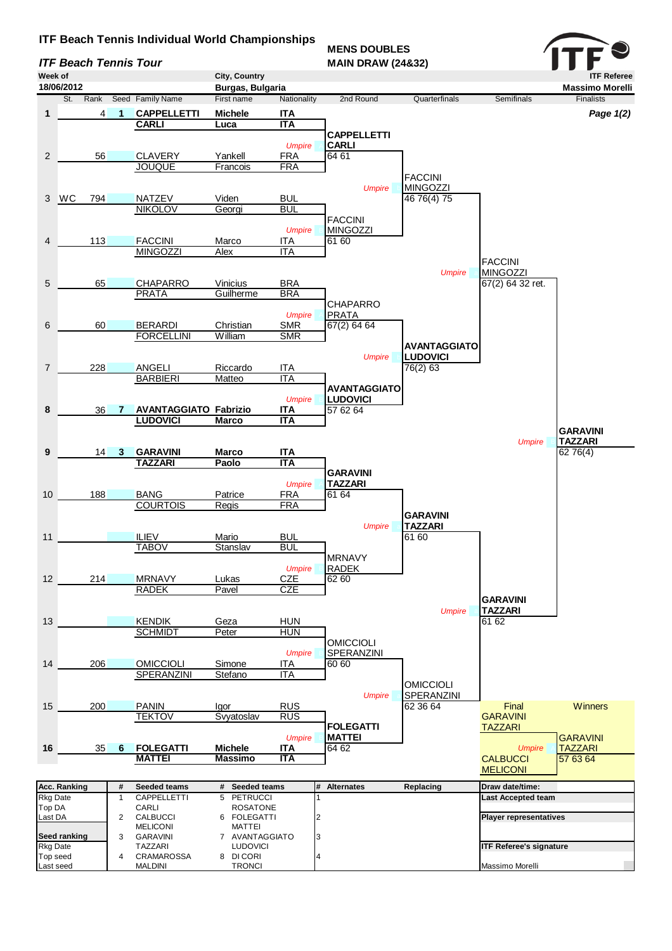## **ITF Beach Tennis Individual World Championships**

**ITF Beach Tennis Tour** 

**MENS DOUBLES<br>MAIN DRAW (24&32)**